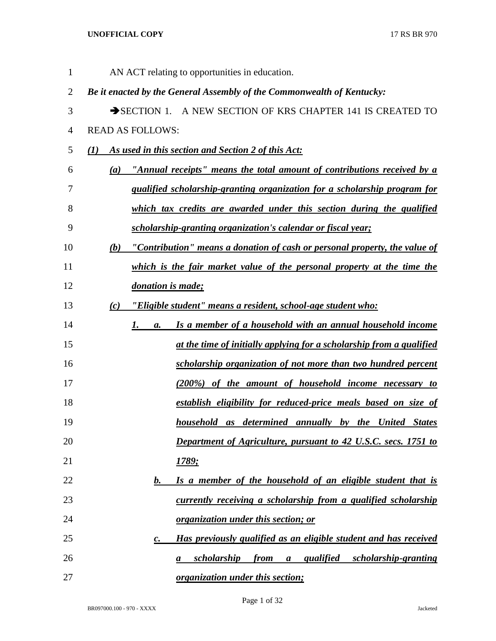| $\mathbf{1}$   | AN ACT relating to opportunities in education.                                        |
|----------------|---------------------------------------------------------------------------------------|
| $\overline{2}$ | Be it enacted by the General Assembly of the Commonwealth of Kentucky:                |
| 3              | SECTION 1. A NEW SECTION OF KRS CHAPTER 141 IS CREATED TO                             |
| $\overline{4}$ | <b>READ AS FOLLOWS:</b>                                                               |
| 5              | As used in this section and Section 2 of this Act:<br>(I)                             |
| 6              | "Annual receipts" means the total amount of contributions received by a<br>(a)        |
| 7              | qualified scholarship-granting organization for a scholarship program for             |
| 8              | which tax credits are awarded under this section during the qualified                 |
| 9              | scholarship-granting organization's calendar or fiscal year;                          |
| 10             | "Contribution" means a donation of cash or personal property, the value of<br>(b)     |
| 11             | which is the fair market value of the personal property at the time the               |
| 12             | donation is made;                                                                     |
| 13             | "Eligible student" means a resident, school-age student who:<br>$\left( c\right)$     |
| 14             | Is a member of a household with an annual household income<br>1.<br>a.                |
| 15             | at the time of initially applying for a scholarship from a qualified                  |
| 16             | scholarship organization of not more than two hundred percent                         |
| 17             | (200%) of the amount of household income necessary to                                 |
| 18             | establish eligibility for reduced-price meals based on size of                        |
| 19             | <b>household</b> as determined annually by the United States                          |
| 20             | <b>Department of Agriculture, pursuant to 42 U.S.C. secs. 1751 to</b>                 |
| 21             | <u>1789;</u>                                                                          |
| 22             | Is a member of the household of an eligible student that is<br>b.                     |
| 23             | currently receiving a scholarship from a qualified scholarship                        |
| 24             | <u>organization under this section; or</u>                                            |
| 25             | Has previously qualified as an eligible student and has received<br>$\boldsymbol{c}.$ |
| 26             | qualified scholarship-granting<br><i>scholarship</i><br>from<br>$\boldsymbol{a}$<br>a |
| 27             | <i>organization under this section;</i>                                               |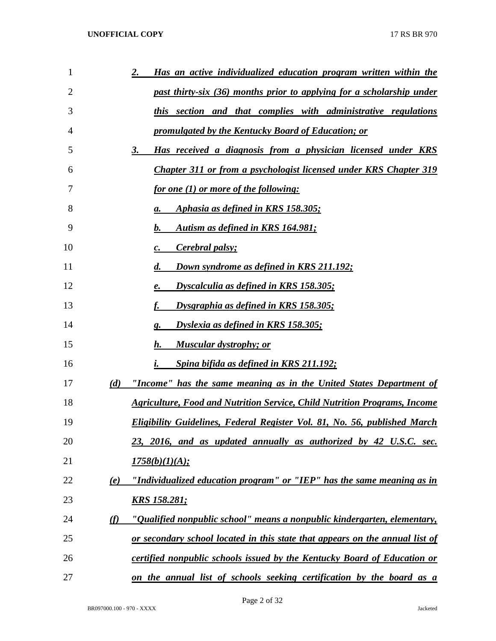| 1  | Has an active individualized education program written within the<br><u>2.</u>   |
|----|----------------------------------------------------------------------------------|
| 2  | past thirty-six (36) months prior to applying for a scholarship under            |
| 3  | this section and that complies with administrative regulations                   |
| 4  | <u>promulgated by the Kentucky Board of Education; or</u>                        |
| 5  | Has received a diagnosis from a physician licensed under KRS<br><u>3.</u>        |
| 6  | Chapter 311 or from a psychologist licensed under KRS Chapter 319                |
| 7  | <u>for one (1) or more of the following:</u>                                     |
| 8  | Aphasia as defined in KRS 158.305;<br>а.                                         |
| 9  | Autism as defined in KRS 164.981;<br>b.                                          |
| 10 | <b>Cerebral palsy;</b><br>c.                                                     |
| 11 | <b>Down syndrome as defined in KRS 211.192;</b><br>d.                            |
| 12 | Dyscalculia as defined in KRS 158.305;<br>e.                                     |
| 13 | Dysgraphia as defined in KRS 158.305;<br>f.                                      |
| 14 | Dyslexia as defined in KRS 158.305;<br>g.                                        |
| 15 | <u>Muscular dystrophy; or</u><br>h.                                              |
| 16 | Spina bifida as defined in KRS 211.192;<br>i.                                    |
| 17 | "Income" has the same meaning as in the United States Department of<br>(d)       |
| 18 | <b>Agriculture, Food and Nutrition Service, Child Nutrition Programs, Income</b> |
| 19 | <b>Eligibility Guidelines, Federal Register Vol. 81, No. 56, published March</b> |
| 20 | 23, 2016, and as updated annually as authorized by 42 U.S.C. sec.                |
| 21 | 1758(b)(1)(A);                                                                   |
| 22 | "Individualized education program" or "IEP" has the same meaning as in<br>(e)    |
| 23 | <u>KRS 158.281;</u>                                                              |
| 24 | "Qualified nonpublic school" means a nonpublic kindergarten, elementary,<br>(f)  |
| 25 | or secondary school located in this state that appears on the annual list of     |
| 26 | certified nonpublic schools issued by the Kentucky Board of Education or         |
| 27 | on the annual list of schools seeking certification by the board as a            |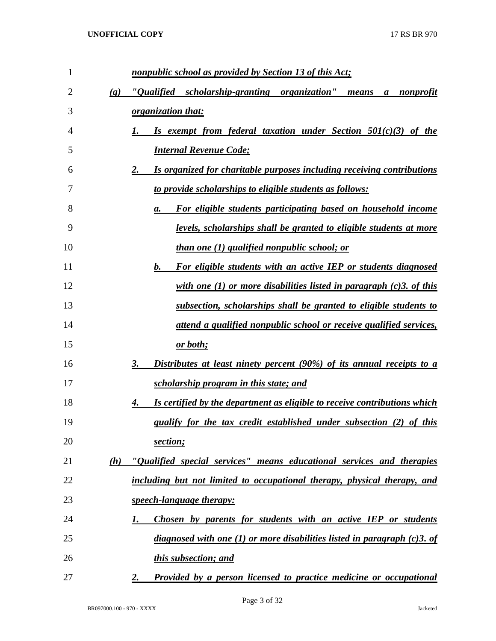| $\mathbf{1}$ |                             | nonpublic school as provided by Section 13 of this Act;                             |
|--------------|-----------------------------|-------------------------------------------------------------------------------------|
| 2            | $\left( \mathbf{g} \right)$ | "Qualified scholarship-granting organization"<br>nonprofit<br>means<br>a            |
| 3            |                             | <i>organization that:</i>                                                           |
| 4            |                             | Is exempt from federal taxation under Section 501(c)(3) of the                      |
| 5            |                             | <b>Internal Revenue Code;</b>                                                       |
| 6            |                             | 2.<br><u>Is organized for charitable purposes including receiving contributions</u> |
| 7            |                             | to provide scholarships to eligible students as follows:                            |
| 8            |                             | For eligible students participating based on household income<br>a.                 |
| 9            |                             | <u>levels, scholarships shall be granted to eligible students at more</u>           |
| 10           |                             | <i>than one (1) qualified nonpublic school; or</i>                                  |
| 11           |                             | b.<br>For eligible students with an active IEP or students diagnosed                |
| 12           |                             | with one (1) or more disabilities listed in paragraph $(c)$ 3. of this              |
| 13           |                             | subsection, scholarships shall be granted to eligible students to                   |
| 14           |                             | attend a qualified nonpublic school or receive qualified services,                  |
| 15           |                             | <u>or both;</u>                                                                     |
| 16           |                             | 3.<br><u>Distributes at least ninety percent (90%) of its annual receipts to a</u>  |
| 17           |                             | scholarship program in this state; and                                              |
| 18           |                             | Is certified by the department as eligible to receive contributions which<br>4.     |
| 19           |                             | qualify for the tax credit established under subsection (2) of this                 |
| 20           |                             | section;                                                                            |
| 21           | (h)                         | "Qualified special services" means educational services and therapies               |
| 22           |                             | including but not limited to occupational therapy, physical therapy, and            |
| 23           |                             | speech-language therapy:                                                            |
| 24           |                             | Chosen by parents for students with an active IEP or students<br>I.                 |
| 25           |                             | diagnosed with one (1) or more disabilities listed in paragraph $(c)$ 3. of         |
| 26           |                             | this subsection; and                                                                |
| 27           |                             | Provided by a person licensed to practice medicine or occupational<br>2.            |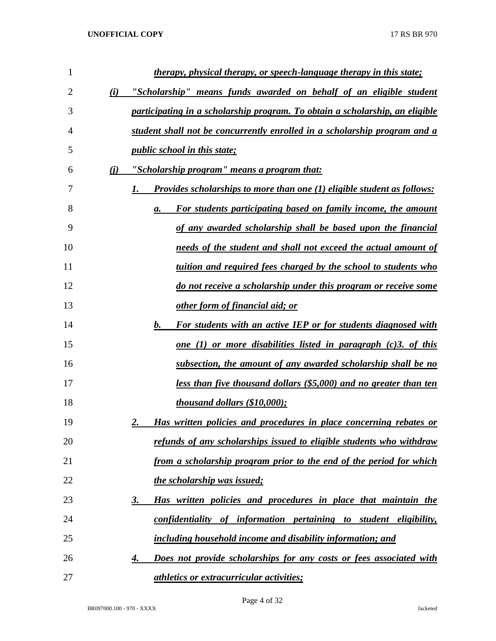| 1  |     | <u>therapy, physical therapy, or speech-language therapy in this state;</u>          |
|----|-----|--------------------------------------------------------------------------------------|
| 2  | (i) | <u>"Scholarship" means funds awarded on behalf of an eligible student</u>            |
| 3  |     | participating in a scholarship program. To obtain a scholarship, an eligible         |
| 4  |     | student shall not be concurrently enrolled in a scholarship program and a            |
| 5  |     | <i>public school in this state;</i>                                                  |
| 6  | (i) | "Scholarship program" means a program that:                                          |
| 7  |     | <b>Provides scholarships to more than one (1) eligible student as follows:</b><br>1. |
| 8  |     | For students participating based on family income, the amount<br>а.                  |
| 9  |     | of any awarded scholarship shall be based upon the financial                         |
| 10 |     | needs of the student and shall not exceed the actual amount of                       |
| 11 |     | tuition and required fees charged by the school to students who                      |
| 12 |     | do not receive a scholarship under this program or receive some                      |
| 13 |     | other form of financial aid; or                                                      |
| 14 |     | $\bm{b}$ .<br>For students with an active IEP or for students diagnosed with         |
| 15 |     | <u>one (1) or more disabilities listed in paragraph (c)3. of this</u>                |
| 16 |     | subsection, the amount of any awarded scholarship shall be no                        |
| 17 |     | less than five thousand dollars (\$5,000) and no greater than ten                    |
| 18 |     | <i>thousand dollars (\$10,000);</i>                                                  |
| 19 |     | Has written policies and procedures in place concerning rebates or<br>2.             |
| 20 |     | refunds of any scholarships issued to eligible students who withdraw                 |
| 21 |     | from a scholarship program prior to the end of the period for which                  |
| 22 |     | the scholarship was issued;                                                          |
| 23 |     | Has written policies and procedures in place that maintain the<br>3.                 |
| 24 |     | confidentiality of information pertaining to student eligibility,                    |
| 25 |     | including household income and disability information; and                           |
| 26 |     | Does not provide scholarships for any costs or fees associated with<br>4.            |
| 27 |     | <i><u><b>athletics or extracurricular activities;</b></u></i>                        |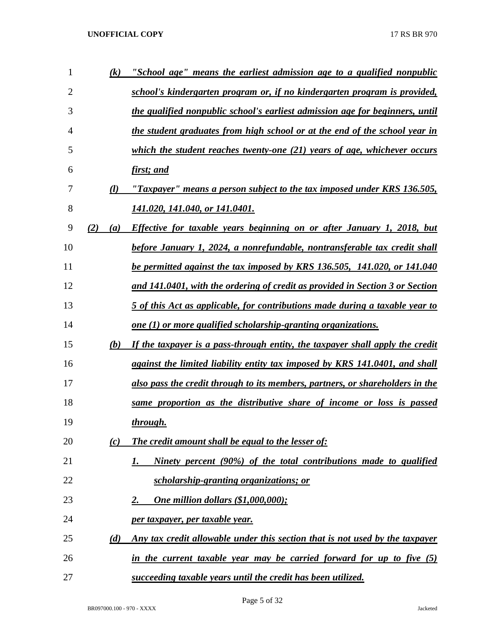| $\mathbf{1}$   | (k)        | "School age" means the earliest admission age to a qualified nonpublic        |
|----------------|------------|-------------------------------------------------------------------------------|
| $\overline{2}$ |            | school's kindergarten program or, if no kindergarten program is provided,     |
| 3              |            | the qualified nonpublic school's earliest admission age for beginners, until  |
| 4              |            | the student graduates from high school or at the end of the school year in    |
| 5              |            | which the student reaches twenty-one (21) years of age, whichever occurs      |
| 6              |            | first; and                                                                    |
| 7              | (l)        | "Taxpayer" means a person subject to the tax imposed under KRS 136.505,       |
| 8              |            | 141.020, 141.040, or 141.0401.                                                |
| 9              | (2)<br>(a) | Effective for taxable years beginning on or after January 1, 2018, but        |
| 10             |            | before January 1, 2024, a nonrefundable, nontransferable tax credit shall     |
| 11             |            | be permitted against the tax imposed by KRS 136.505, 141.020, or 141.040      |
| 12             |            | and 141.0401, with the ordering of credit as provided in Section 3 or Section |
| 13             |            | 5 of this Act as applicable, for contributions made during a taxable year to  |
| 14             |            | one $(1)$ or more qualified scholarship-granting organizations.               |
| 15             | (b)        | If the taxpayer is a pass-through entity, the taxpayer shall apply the credit |
| 16             |            | against the limited liability entity tax imposed by KRS 141.0401, and shall   |
| 17             |            | also pass the credit through to its members, partners, or shareholders in the |
| 18             |            | same proportion as the distributive share of income or loss is passed         |
| 19             |            | through.                                                                      |
| 20             | (c)        | The credit amount shall be equal to the lesser of:                            |
| 21             |            | Ninety percent (90%) of the total contributions made to qualified<br>1.       |
| 22             |            | <u>scholarship-granting organizations; or</u>                                 |
| 23             |            | <b>One million dollars (\$1,000,000);</b><br><u>2.</u>                        |
| 24             |            | per taxpayer, per taxable year.                                               |
| 25             | (d)        | Any tax credit allowable under this section that is not used by the taxpayer  |
| 26             |            | in the current taxable year may be carried forward for up to five (5)         |
| 27             |            | succeeding taxable years until the credit has been utilized.                  |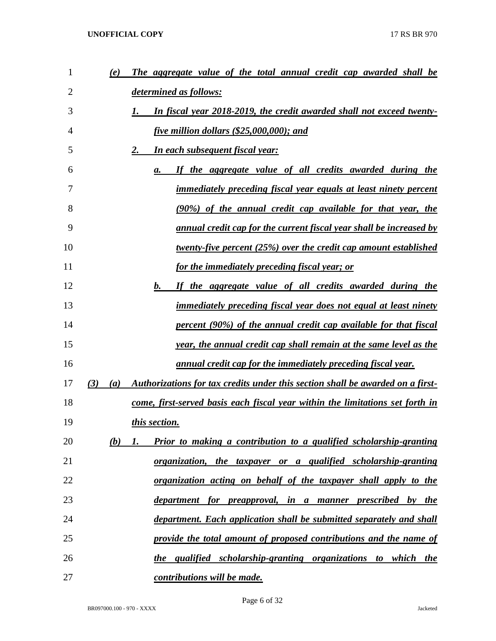| $\mathbf{1}$ | (e)        | The aggregate value of the total annual credit cap awarded shall be            |
|--------------|------------|--------------------------------------------------------------------------------|
| 2            |            | determined as follows:                                                         |
| 3            |            | In fiscal year 2018-2019, the credit awarded shall not exceed twenty-          |
| 4            |            | <u>five million dollars (\$25,000,000); and</u>                                |
| 5            |            | <b>In each subsequent fiscal year:</b><br>2.                                   |
| 6            |            | If the aggregate value of all credits awarded during the<br>а.                 |
| 7            |            | immediately preceding fiscal year equals at least ninety percent               |
| 8            |            | (90%) of the annual credit cap available for that year, the                    |
| 9            |            | annual credit cap for the current fiscal year shall be increased by            |
| 10           |            | <u>twenty-five percent (25%) over the credit cap amount established</u>        |
| 11           |            | <u>for the immediately preceding fiscal year; or</u>                           |
| 12           |            | $\mathbf{b}$ .<br>If the aggregate value of all credits awarded during the     |
| 13           |            | <i>immediately preceding fiscal year does not equal at least ninety</i>        |
| 14           |            | percent (90%) of the annual credit cap available for that fiscal               |
| 15           |            | year, the annual credit cap shall remain at the same level as the              |
| 16           |            | <u>annual credit cap for the immediately preceding fiscal year.</u>            |
| 17           | (3)<br>(a) | Authorizations for tax credits under this section shall be awarded on a first- |
| 18           |            | come, first-served basis each fiscal year within the limitations set forth in  |
| 19           |            | this section.                                                                  |
| 20           | (b)        | Prior to making a contribution to a qualified scholarship-granting<br>1.       |
| 21           |            | <u>organization, the taxpayer or a qualified scholarship-granting</u>          |
| 22           |            | <u>organization acting on behalf of the taxpayer shall apply to the</u>        |
| 23           |            | department for preapproval, in a manner prescribed by the                      |
| 24           |            | department. Each application shall be submitted separately and shall           |
| 25           |            | provide the total amount of proposed contributions and the name of             |
| 26           |            | the qualified scholarship-granting organizations to which the                  |
| 27           |            | <u>contributions will be made.</u>                                             |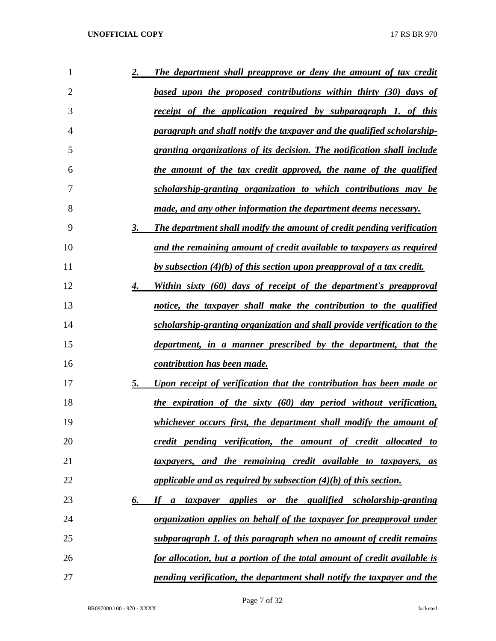| 1  | 2. | The department shall preapprove or deny the amount of tax credit                       |
|----|----|----------------------------------------------------------------------------------------|
| 2  |    | based upon the proposed contributions within thirty (30) days of                       |
| 3  |    | <u>receipt of the application required by subparagraph 1, of this</u>                  |
| 4  |    | paragraph and shall notify the taxpayer and the qualified scholarship-                 |
| 5  |    | granting organizations of its decision. The notification shall include                 |
| 6  |    | the amount of the tax credit approved, the name of the qualified                       |
| 7  |    | scholarship-granting organization to which contributions may be                        |
| 8  |    | <u>made, and any other information the department deems necessary.</u>                 |
| 9  | 3. | <b>The department shall modify the amount of credit pending verification</b>           |
| 10 |    | and the remaining amount of credit available to taxpayers as required                  |
| 11 |    | <u>by subsection (4)(b) of this section upon preapproval of a tax credit.</u>          |
| 12 | 4. | Within sixty (60) days of receipt of the department's preapproval                      |
| 13 |    | notice, the taxpayer shall make the contribution to the qualified                      |
| 14 |    | scholarship-granting organization and shall provide verification to the                |
| 15 |    | <u>department, in a manner prescribed by the department, that the</u>                  |
| 16 |    | <u>contribution has been made.</u>                                                     |
| 17 | 5. | Upon receipt of verification that the contribution has been made or                    |
| 18 |    | the expiration of the sixty (60) day period without verification,                      |
| 19 |    | whichever occurs first, the department shall modify the amount of                      |
| 20 |    | credit pending verification, the amount of credit allocated to                         |
| 21 |    | taxpayers, and the remaining credit available to taxpayers, as                         |
| 22 |    | applicable and as required by subsection $(4)(b)$ of this section.                     |
| 23 | 6. | <i>applies or the qualified scholarship-granting</i><br>$\boldsymbol{H}$<br>a taxpayer |
| 24 |    | organization applies on behalf of the taxpayer for preapproval under                   |
| 25 |    | subparagraph 1. of this paragraph when no amount of credit remains                     |
| 26 |    | for allocation, but a portion of the total amount of credit available is               |
| 27 |    | pending verification, the department shall notify the taxpayer and the                 |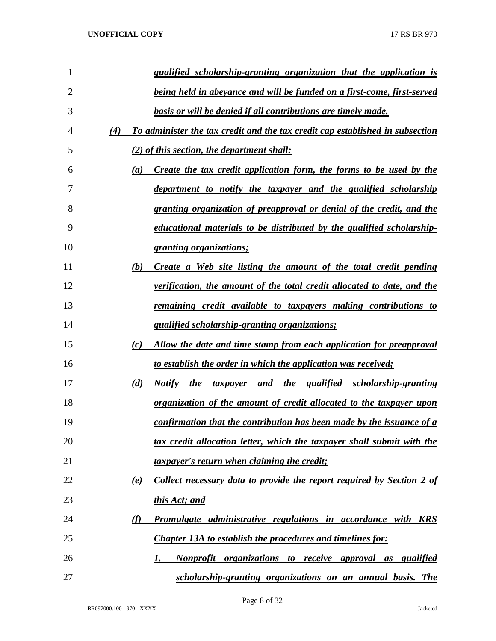| 1  | qualified scholarship-granting organization that the application is                      |
|----|------------------------------------------------------------------------------------------|
| 2  | being held in abeyance and will be funded on a first-come, first-served                  |
| 3  | basis or will be denied if all contributions are timely made.                            |
| 4  | To administer the tax credit and the tax credit cap established in subsection<br>(4)     |
| 5  | $(2)$ of this section, the department shall:                                             |
| 6  | Create the tax credit application form, the forms to be used by the<br>$\left( a\right)$ |
| 7  | department to notify the taxpayer and the qualified scholarship                          |
| 8  | granting organization of preapproval or denial of the credit, and the                    |
| 9  | educational materials to be distributed by the qualified scholarship-                    |
| 10 | <u>granting organizations;</u>                                                           |
| 11 | (b)<br>Create a Web site listing the amount of the total credit pending                  |
| 12 | <u>verification, the amount of the total credit allocated to date, and the</u>           |
| 13 | <u>remaining credit available to taxpayers making contributions to</u>                   |
| 14 | <i><u><b>qualified scholarship-granting organizations;</b></u></i>                       |
| 15 | Allow the date and time stamp from each application for preapproval<br>(c)               |
| 16 | <u>to establish the order in which the application was received;</u>                     |
| 17 | Notify the taxpayer and the qualified scholarship-granting<br>(d)                        |
| 18 | organization of the amount of credit allocated to the taxpayer upon                      |
| 19 | confirmation that the contribution has been made by the issuance of a                    |
| 20 | tax credit allocation letter, which the taxpayer shall submit with the                   |
| 21 | taxpayer's return when claiming the credit;                                              |
| 22 | Collect necessary data to provide the report required by Section 2 of<br>(e)             |
| 23 | this Act; and                                                                            |
| 24 | <b>Promulgate administrative regulations in accordance with KRS</b><br>(f)               |
| 25 | <b>Chapter 13A to establish the procedures and timelines for:</b>                        |
| 26 | Nonprofit organizations to receive approval as<br><i>qualified</i><br>1.                 |
| 27 | scholarship-granting organizations on an annual basis. The                               |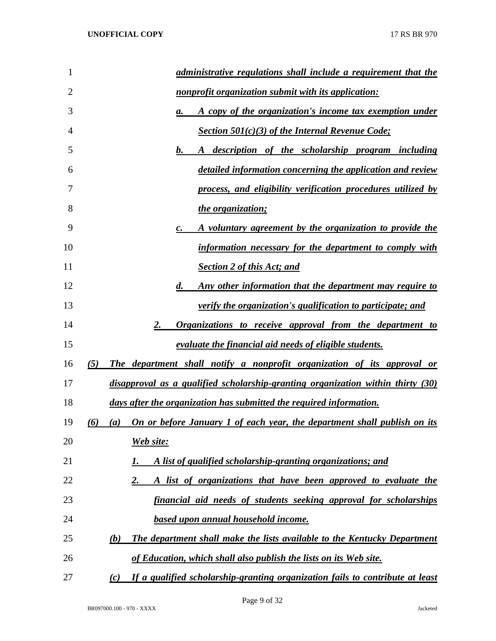| 1              | administrative regulations shall include a requirement that the                      |
|----------------|--------------------------------------------------------------------------------------|
| $\overline{2}$ | nonprofit organization submit with its application:                                  |
| 3              | A copy of the organization's income tax exemption under<br>а.                        |
| 4              | <b>Section 501(c)(3) of the Internal Revenue Code;</b>                               |
| 5              | A description of the scholarship program including<br>$b_{\cdot\cdot\cdot}$          |
| 6              | detailed information concerning the application and review                           |
| 7              | process, and eligibility verification procedures utilized by                         |
| 8              | the organization;                                                                    |
| 9              | A voluntary agreement by the organization to provide the<br>$\boldsymbol{c}$ .       |
| 10             | information necessary for the department to comply with                              |
| 11             | <b>Section 2 of this Act; and</b>                                                    |
| 12             | <u>Any other information that the department may require to</u><br>$\boldsymbol{d.}$ |
| 13             | <i>verify the organization's qualification to participate; and</i>                   |
| 14             | <b>Organizations to receive approval from the department to</b><br>2.                |
| 15             | evaluate the financial aid needs of eligible students.                               |
| 16             | The department shall notify a nonprofit organization of its approval or<br>(5)       |
| 17             | disapproval as a qualified scholarship-granting organization within thirty (30)      |
| 18             | days after the organization has submitted the required information.                  |
| 19             | (a) On or before January 1 of each year, the department shall publish on its<br>(6)  |
| 20             | Web site:                                                                            |
| 21             | A list of qualified scholarship-granting organizations; and                          |
| 22             | A list of organizations that have been approved to evaluate the<br>2.                |
| 23             | financial aid needs of students seeking approval for scholarships                    |
| 24             | <u>based upon annual household income.</u>                                           |
| 25             | The department shall make the lists available to the Kentucky Department<br>(b)      |
| 26             | of Education, which shall also publish the lists on its Web site.                    |
| 27             | If a qualified scholarship-granting organization fails to contribute at least<br>(c) |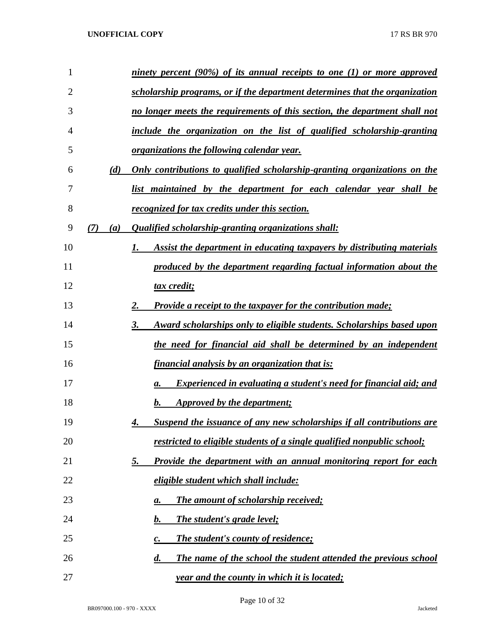| 1  |            | <u>ninety percent (90%) of its annual receipts to one (1) or more approved</u>        |
|----|------------|---------------------------------------------------------------------------------------|
| 2  |            | scholarship programs, or if the department determines that the organization           |
| 3  |            | no longer meets the requirements of this section, the department shall not            |
| 4  |            | include the organization on the list of qualified scholarship-granting                |
| 5  |            | <i>organizations the following calendar year.</i>                                     |
| 6  | (d)        | <u>Only contributions to qualified scholarship-granting organizations on the</u>      |
| 7  |            | <u>list maintained by the department for each calendar year shall be</u>              |
| 8  |            | <i>recognized for tax credits under this section.</i>                                 |
| 9  | (7)<br>(a) | Qualified scholarship-granting organizations shall:                                   |
| 10 |            | Assist the department in educating taxpayers by distributing materials                |
| 11 |            | produced by the department regarding factual information about the                    |
| 12 |            | <u>tax credit;</u>                                                                    |
| 13 |            | <b>Provide a receipt to the taxpayer for the contribution made;</b><br>2.             |
| 14 |            | Award scholarships only to eligible students. Scholarships based upon<br>3.           |
| 15 |            | the need for financial aid shall be determined by an independent                      |
| 16 |            | financial analysis by an organization that is:                                        |
| 17 |            | Experienced in evaluating a student's need for financial aid; and<br>а.               |
| 18 |            | Approved by the department;<br>b.                                                     |
| 19 |            | Suspend the issuance of any new scholarships if all contributions are<br>4.           |
| 20 |            | restricted to eligible students of a single qualified nonpublic school;               |
| 21 |            | Provide the department with an annual monitoring report for each<br><u>5.</u>         |
| 22 |            | eligible student which shall include:                                                 |
| 23 |            | The amount of scholarship received;<br>а.                                             |
| 24 |            | The student's grade level;<br>b.                                                      |
| 25 |            | <b>The student's county of residence;</b><br>c.                                       |
| 26 |            | The name of the school the student attended the previous school<br>$\boldsymbol{d}$ . |
| 27 |            | year and the county in which it is located;                                           |

Page 10 of 32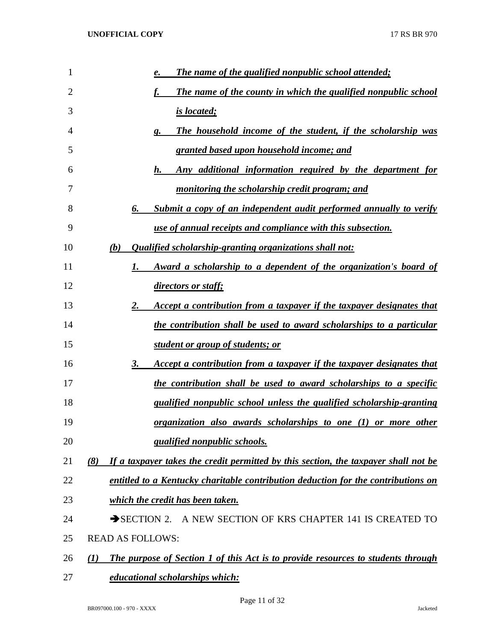| 1              | The name of the qualified nonpublic school attended;<br>e.                                     |  |
|----------------|------------------------------------------------------------------------------------------------|--|
| $\overline{2}$ | The name of the county in which the qualified nonpublic school<br>f.                           |  |
| 3              | <u>is located;</u>                                                                             |  |
| 4              | The household income of the student, if the scholarship was<br>g.                              |  |
| 5              | granted based upon household income; and                                                       |  |
| 6              | Any additional information required by the department for<br>$h_{\cdot\cdot}$                  |  |
| 7              | monitoring the scholarship credit program; and                                                 |  |
| 8              | Submit a copy of an independent audit performed annually to verify<br>6.                       |  |
| 9              | use of annual receipts and compliance with this subsection.                                    |  |
| 10             | <i><b>Qualified scholarship-granting organizations shall not:</b></i><br>(b)                   |  |
| 11             | Award a scholarship to a dependent of the organization's board of<br>1.                        |  |
| 12             | <i>directors or staff;</i>                                                                     |  |
| 13             | Accept a contribution from a taxpayer if the taxpayer designates that<br>2.                    |  |
| 14             | the contribution shall be used to award scholarships to a particular                           |  |
| 15             | <u>student or group of students; or </u>                                                       |  |
| 16             | Accept a contribution from a taxpayer if the taxpayer designates that<br>3.                    |  |
| 17             | the contribution shall be used to award scholarships to a specific                             |  |
| 18             | qualified nonpublic school unless the qualified scholarship-granting                           |  |
| 19             | organization also awards scholarships to one (1) or more other                                 |  |
| 20             | <i><u><b>qualified nonpublic schools.</b></u></i>                                              |  |
| 21             | If a taxpayer takes the credit permitted by this section, the taxpayer shall not be<br>(8)     |  |
| 22             | entitled to a Kentucky charitable contribution deduction for the contributions on              |  |
| 23             | which the credit has been taken.                                                               |  |
| 24             | $\rightarrow$ SECTION 2.<br>A NEW SECTION OF KRS CHAPTER 141 IS CREATED TO                     |  |
| 25             | <b>READ AS FOLLOWS:</b>                                                                        |  |
| 26             | <b>The purpose of Section 1 of this Act is to provide resources to students through</b><br>(I) |  |
| 27             | educational scholarships which:                                                                |  |

Page 11 of 32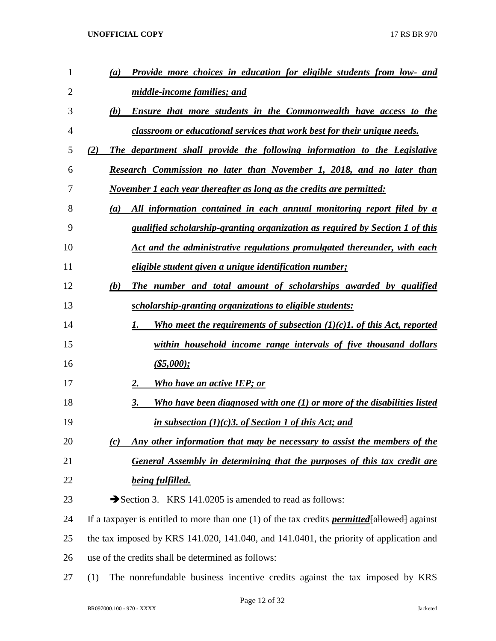| $\mathbf{1}$ | Provide more choices in education for eligible students from low- and<br>(a)                           |
|--------------|--------------------------------------------------------------------------------------------------------|
| 2            | middle-income families; and                                                                            |
| 3            | (b)<br><b>Ensure that more students in the Commonwealth have access to the</b>                         |
| 4            | classroom or educational services that work best for their unique needs.                               |
| 5            | The department shall provide the following information to the Legislative<br>(2)                       |
| 6            | Research Commission no later than November 1, 2018, and no later than                                  |
| 7            | November 1 each year thereafter as long as the credits are permitted:                                  |
| 8            | All information contained in each annual monitoring report filed by a<br>(a)                           |
| 9            | qualified scholarship-granting organization as required by Section 1 of this                           |
| 10           | Act and the administrative regulations promulgated thereunder, with each                               |
| 11           | eligible student given a unique identification number;                                                 |
| 12           | The number and total amount of scholarships awarded by qualified<br>(b)                                |
| 13           | scholarship-granting organizations to eligible students:                                               |
| 14           | Who meet the requirements of subsection $(1)(c)$ . of this Act, reported<br>1.                         |
| 15           | within household income range intervals of five thousand dollars                                       |
| 16           | $(\$5,000);$                                                                                           |
| 17           | Who have an active IEP; or<br>2.                                                                       |
| 18           | Who have been diagnosed with one (1) or more of the disabilities listed<br>3.                          |
| 19           | in subsection $(1)(c)$ 3. of Section 1 of this Act; and                                                |
| 20           | Any other information that may be necessary to assist the members of the<br>(c)                        |
| 21           | General Assembly in determining that the purposes of this tax credit are                               |
| 22           | being fulfilled.                                                                                       |
| 23           | Section 3. KRS 141.0205 is amended to read as follows:                                                 |
| 24           | If a taxpayer is entitled to more than one $(1)$ of the tax credits <b>permitted</b> [allowed] against |
| 25           | the tax imposed by KRS 141.020, 141.040, and 141.0401, the priority of application and                 |
| 26           | use of the credits shall be determined as follows:                                                     |
| 27           | The nonrefundable business incentive credits against the tax imposed by KRS<br>(1)                     |

Page 12 of 32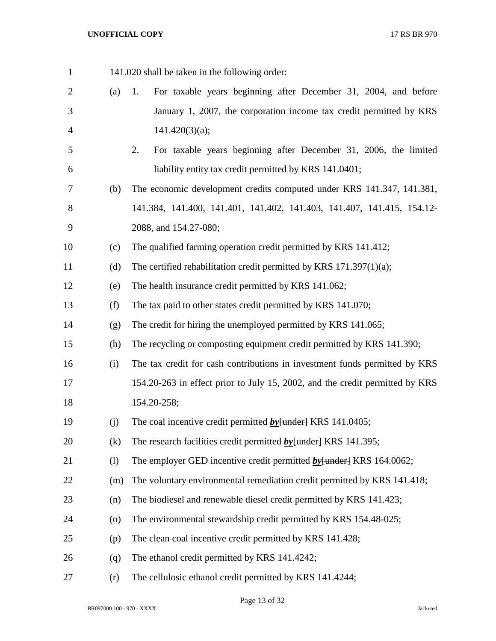| $\mathbf{1}$   |                    | 141.020 shall be taken in the following order:                               |  |  |  |  |
|----------------|--------------------|------------------------------------------------------------------------------|--|--|--|--|
| $\overline{2}$ | (a)                | For taxable years beginning after December 31, 2004, and before<br>1.        |  |  |  |  |
| 3              |                    | January 1, 2007, the corporation income tax credit permitted by KRS          |  |  |  |  |
| 4              |                    | 141.420(3)(a);                                                               |  |  |  |  |
| 5              |                    | For taxable years beginning after December 31, 2006, the limited<br>2.       |  |  |  |  |
| 6              |                    | liability entity tax credit permitted by KRS 141.0401;                       |  |  |  |  |
| 7              | (b)                | The economic development credits computed under KRS 141.347, 141.381,        |  |  |  |  |
| 8              |                    | 141.384, 141.400, 141.401, 141.402, 141.403, 141.407, 141.415, 154.12-       |  |  |  |  |
| 9              |                    | 2088, and 154.27-080;                                                        |  |  |  |  |
| 10             | (c)                | The qualified farming operation credit permitted by KRS 141.412;             |  |  |  |  |
| 11             | (d)                | The certified rehabilitation credit permitted by KRS $171.397(1)(a)$ ;       |  |  |  |  |
| 12             | (e)                | The health insurance credit permitted by KRS 141.062;                        |  |  |  |  |
| 13             | (f)                | The tax paid to other states credit permitted by KRS 141.070;                |  |  |  |  |
| 14             | (g)                | The credit for hiring the unemployed permitted by KRS 141.065;               |  |  |  |  |
| 15             | (h)                | The recycling or composting equipment credit permitted by KRS 141.390;       |  |  |  |  |
| 16             | (i)                | The tax credit for cash contributions in investment funds permitted by KRS   |  |  |  |  |
| 17             |                    | 154.20-263 in effect prior to July 15, 2002, and the credit permitted by KRS |  |  |  |  |
| 18             |                    | 154.20-258;                                                                  |  |  |  |  |
| 19             | (j)                | The coal incentive credit permitted $by$ [under] KRS 141.0405;               |  |  |  |  |
| 20             | (k)                | The research facilities credit permitted $by$ [under] KRS 141.395;           |  |  |  |  |
| 21             | (1)                | The employer GED incentive credit permitted $by$ [under] KRS 164.0062;       |  |  |  |  |
| 22             | (m)                | The voluntary environmental remediation credit permitted by KRS 141.418;     |  |  |  |  |
| 23             | (n)                | The biodiesel and renewable diesel credit permitted by KRS 141.423;          |  |  |  |  |
| 24             | $\left( 0 \right)$ | The environmental stewardship credit permitted by KRS 154.48-025;            |  |  |  |  |
| 25             | (p)                | The clean coal incentive credit permitted by KRS 141.428;                    |  |  |  |  |
| 26             | (q)                | The ethanol credit permitted by KRS 141.4242;                                |  |  |  |  |
| 27             | (r)                | The cellulosic ethanol credit permitted by KRS 141.4244;                     |  |  |  |  |

Page 13 of 32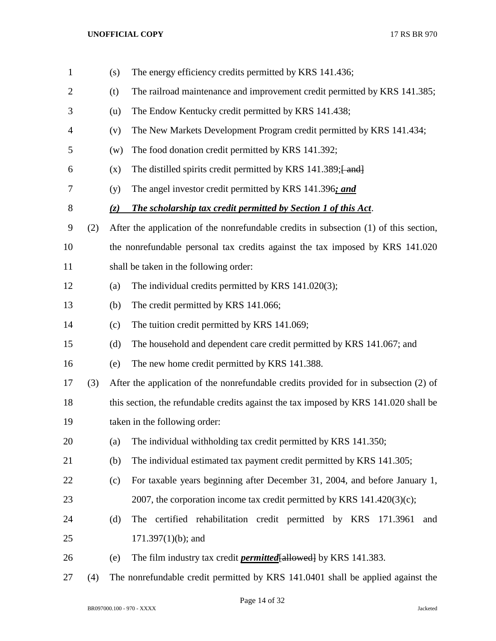| $\mathbf{1}$   |     | (s) | The energy efficiency credits permitted by KRS 141.436;                               |  |  |
|----------------|-----|-----|---------------------------------------------------------------------------------------|--|--|
| $\overline{2}$ |     | (t) | The railroad maintenance and improvement credit permitted by KRS 141.385;             |  |  |
| 3              |     | (u) | The Endow Kentucky credit permitted by KRS 141.438;                                   |  |  |
| 4              |     | (v) | The New Markets Development Program credit permitted by KRS 141.434;                  |  |  |
| 5              |     | (w) | The food donation credit permitted by KRS 141.392;                                    |  |  |
| 6              |     | (x) | The distilled spirits credit permitted by KRS 141.389; [and]                          |  |  |
| 7              |     | (y) | The angel investor credit permitted by KRS 141.396; and                               |  |  |
| 8              |     | (z) | The scholarship tax credit permitted by Section 1 of this Act.                        |  |  |
| 9              | (2) |     | After the application of the nonrefundable credits in subsection (1) of this section, |  |  |
| 10             |     |     | the nonrefundable personal tax credits against the tax imposed by KRS 141.020         |  |  |
| 11             |     |     | shall be taken in the following order:                                                |  |  |
| 12             |     | (a) | The individual credits permitted by KRS 141.020(3);                                   |  |  |
| 13             |     | (b) | The credit permitted by KRS 141.066;                                                  |  |  |
| 14             |     | (c) | The tuition credit permitted by KRS 141.069;                                          |  |  |
| 15             |     | (d) | The household and dependent care credit permitted by KRS 141.067; and                 |  |  |
| 16             |     | (e) | The new home credit permitted by KRS 141.388.                                         |  |  |
| 17             | (3) |     | After the application of the nonrefundable credits provided for in subsection (2) of  |  |  |
| 18             |     |     | this section, the refundable credits against the tax imposed by KRS 141.020 shall be  |  |  |
| 19             |     |     | taken in the following order:                                                         |  |  |
| 20             |     | (a) | The individual withholding tax credit permitted by KRS 141.350;                       |  |  |
| 21             |     | (b) | The individual estimated tax payment credit permitted by KRS 141.305;                 |  |  |
| 22             |     | (c) | For taxable years beginning after December 31, 2004, and before January 1,            |  |  |
| 23             |     |     | 2007, the corporation income tax credit permitted by KRS $141.420(3)(c)$ ;            |  |  |
| 24             |     | (d) | The certified rehabilitation credit permitted by KRS 171.3961<br>and                  |  |  |
| 25             |     |     | $171.397(1)(b)$ ; and                                                                 |  |  |
| 26             |     | (e) | The film industry tax credit <i>permitted</i> [allowed] by KRS 141.383.               |  |  |
| 27             | (4) |     | The nonrefundable credit permitted by KRS 141.0401 shall be applied against the       |  |  |

Page 14 of 32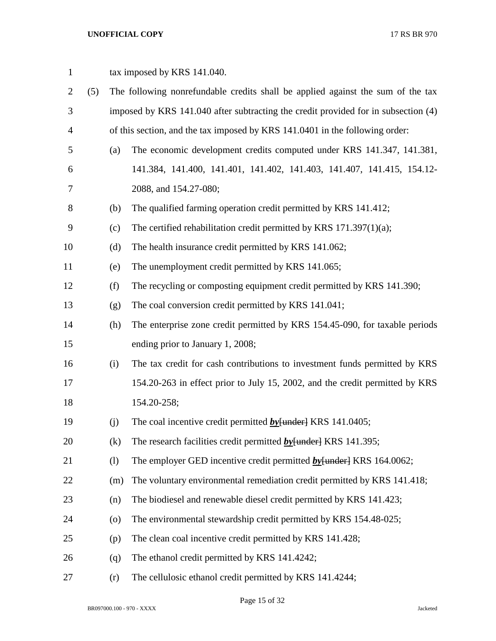| $\mathbf{1}$   |     |                    | tax imposed by KRS 141.040.                                                        |  |  |  |  |
|----------------|-----|--------------------|------------------------------------------------------------------------------------|--|--|--|--|
| $\overline{2}$ | (5) |                    | The following nonrefundable credits shall be applied against the sum of the tax    |  |  |  |  |
| 3              |     |                    | imposed by KRS 141.040 after subtracting the credit provided for in subsection (4) |  |  |  |  |
| $\overline{4}$ |     |                    | of this section, and the tax imposed by KRS 141.0401 in the following order:       |  |  |  |  |
| 5              |     | (a)                | The economic development credits computed under KRS 141.347, 141.381,              |  |  |  |  |
| 6              |     |                    | 141.384, 141.400, 141.401, 141.402, 141.403, 141.407, 141.415, 154.12-             |  |  |  |  |
| 7              |     |                    | 2088, and 154.27-080;                                                              |  |  |  |  |
| $8\,$          |     | (b)                | The qualified farming operation credit permitted by KRS 141.412;                   |  |  |  |  |
| 9              |     | (c)                | The certified rehabilitation credit permitted by KRS $171.397(1)(a)$ ;             |  |  |  |  |
| 10             |     | (d)                | The health insurance credit permitted by KRS 141.062;                              |  |  |  |  |
| 11             |     | (e)                | The unemployment credit permitted by KRS 141.065;                                  |  |  |  |  |
| 12             |     | (f)                | The recycling or composting equipment credit permitted by KRS 141.390;             |  |  |  |  |
| 13             |     | (g)                | The coal conversion credit permitted by KRS 141.041;                               |  |  |  |  |
| 14             |     | (h)                | The enterprise zone credit permitted by KRS 154.45-090, for taxable periods        |  |  |  |  |
| 15             |     |                    | ending prior to January 1, 2008;                                                   |  |  |  |  |
| 16             |     | (i)                | The tax credit for cash contributions to investment funds permitted by KRS         |  |  |  |  |
| 17             |     |                    | 154.20-263 in effect prior to July 15, 2002, and the credit permitted by KRS       |  |  |  |  |
| 18             |     |                    | 154.20-258;                                                                        |  |  |  |  |
| 19             |     | (j)                | The coal incentive credit permitted $by$ [under] KRS 141.0405;                     |  |  |  |  |
| 20             |     | (k)                | The research facilities credit permitted $by$ [under] KRS 141.395;                 |  |  |  |  |
| 21             |     | (1)                | The employer GED incentive credit permitted $by$ [under] KRS 164.0062;             |  |  |  |  |
| 22             |     | (m)                | The voluntary environmental remediation credit permitted by KRS 141.418;           |  |  |  |  |
| 23             |     | (n)                | The biodiesel and renewable diesel credit permitted by KRS 141.423;                |  |  |  |  |
| 24             |     | $\left( 0 \right)$ | The environmental stewardship credit permitted by KRS 154.48-025;                  |  |  |  |  |
| 25             |     | (p)                | The clean coal incentive credit permitted by KRS 141.428;                          |  |  |  |  |
| 26             |     | (q)                | The ethanol credit permitted by KRS 141.4242;                                      |  |  |  |  |
| 27             |     | (r)                | The cellulosic ethanol credit permitted by KRS 141.4244;                           |  |  |  |  |

BR097000.100 - 970 - XXXX Jacketed

Page 15 of 32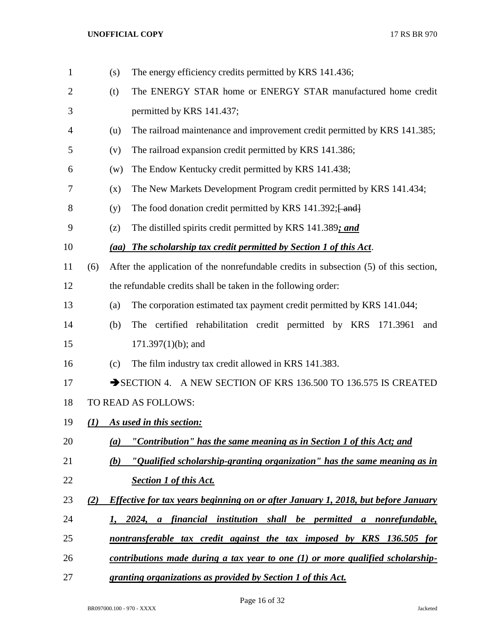| $\mathbf{1}$ |          | (s) | The energy efficiency credits permitted by KRS 141.436;                               |
|--------------|----------|-----|---------------------------------------------------------------------------------------|
| 2            |          | (t) | The ENERGY STAR home or ENERGY STAR manufactured home credit                          |
| 3            |          |     | permitted by KRS 141.437;                                                             |
| 4            |          | (u) | The railroad maintenance and improvement credit permitted by KRS 141.385;             |
| 5            |          | (v) | The railroad expansion credit permitted by KRS 141.386;                               |
| 6            |          | (w) | The Endow Kentucky credit permitted by KRS 141.438;                                   |
| 7            |          | (x) | The New Markets Development Program credit permitted by KRS 141.434;                  |
| 8            |          | (y) | The food donation credit permitted by KRS 141.392; [and]                              |
| 9            |          | (z) | The distilled spirits credit permitted by KRS 141.389; and                            |
| 10           |          |     | (aa) The scholarship tax credit permitted by Section 1 of this Act.                   |
| 11           | (6)      |     | After the application of the nonrefundable credits in subsection (5) of this section, |
| 12           |          |     | the refundable credits shall be taken in the following order:                         |
| 13           |          | (a) | The corporation estimated tax payment credit permitted by KRS 141.044;                |
| 14           |          | (b) | The certified rehabilitation credit permitted by KRS 171.3961<br>and                  |
| 15           |          |     | $171.397(1)(b)$ ; and                                                                 |
| 16           |          | (c) | The film industry tax credit allowed in KRS 141.383.                                  |
| 17           |          |     | SECTION 4. A NEW SECTION OF KRS 136.500 TO 136.575 IS CREATED                         |
| 18           |          |     | TO READ AS FOLLOWS:                                                                   |
| 19           | $\bf(1)$ |     | As used in this section:                                                              |
| 20           |          | (a) | "Contribution" has the same meaning as in Section 1 of this Act; and                  |
| 21           |          | (b) | "Qualified scholarship-granting organization" has the same meaning as in              |
| 22           |          |     | <b>Section 1 of this Act.</b>                                                         |
| 23           | (2)      |     | Effective for tax years beginning on or after January 1, 2018, but before January     |
| 24           |          |     | 1, 2024, a financial institution shall be permitted a nonrefundable,                  |
| 25           |          |     | nontransferable tax credit against the tax imposed by KRS 136.505 for                 |
| 26           |          |     | contributions made during a tax year to one $(1)$ or more qualified scholarship-      |
| 27           |          |     | granting organizations as provided by Section 1 of this Act.                          |

Page 16 of 32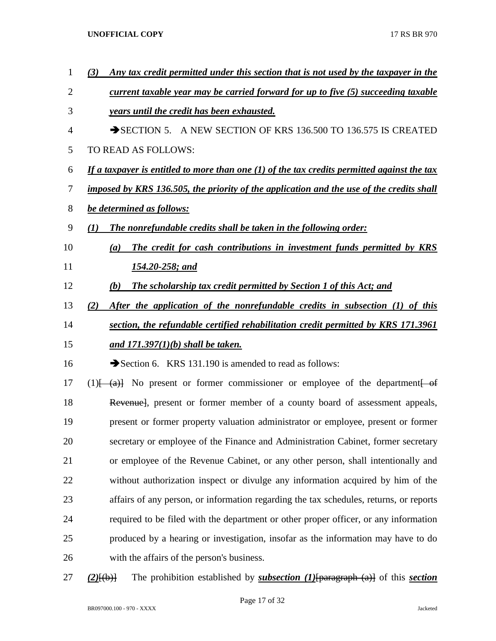| 1  | Any tax credit permitted under this section that is not used by the taxpayer in the<br>(3)                                                                                                                                                                                                                                                                        |
|----|-------------------------------------------------------------------------------------------------------------------------------------------------------------------------------------------------------------------------------------------------------------------------------------------------------------------------------------------------------------------|
| 2  | <u>current taxable year may be carried forward for up to five (5) succeeding taxable</u>                                                                                                                                                                                                                                                                          |
| 3  | <i>years until the credit has been exhausted.</i>                                                                                                                                                                                                                                                                                                                 |
| 4  | SECTION 5. A NEW SECTION OF KRS 136.500 TO 136.575 IS CREATED                                                                                                                                                                                                                                                                                                     |
| 5  | TO READ AS FOLLOWS:                                                                                                                                                                                                                                                                                                                                               |
| 6  | If a taxpayer is entitled to more than one $(1)$ of the tax credits permitted against the tax                                                                                                                                                                                                                                                                     |
| 7  | imposed by KRS 136.505, the priority of the application and the use of the credits shall                                                                                                                                                                                                                                                                          |
| 8  | be determined as follows:                                                                                                                                                                                                                                                                                                                                         |
| 9  | The nonrefundable credits shall be taken in the following order:<br>(1)                                                                                                                                                                                                                                                                                           |
| 10 | The credit for cash contributions in investment funds permitted by KRS<br>(a)                                                                                                                                                                                                                                                                                     |
| 11 | 154.20-258; and                                                                                                                                                                                                                                                                                                                                                   |
| 12 | <b>The scholarship tax credit permitted by Section 1 of this Act; and</b><br>(b)                                                                                                                                                                                                                                                                                  |
| 13 | After the application of the nonrefundable credits in subsection (1) of this<br>(2)                                                                                                                                                                                                                                                                               |
| 14 | section, the refundable certified rehabilitation credit permitted by KRS 171.3961                                                                                                                                                                                                                                                                                 |
| 15 | and $171.397(1)(b)$ shall be taken.                                                                                                                                                                                                                                                                                                                               |
| 16 | Section 6. KRS 131.190 is amended to read as follows:                                                                                                                                                                                                                                                                                                             |
| 17 | $(1)$ $\left\{\n\begin{array}{ccc}\n\text{(a)} & \text{No} & \text{present} & \text{or} & \text{form} \\ \text{(b)} & \text{(c)} & \text{or} & \text{commissioner} & \text{or} & \text{employee} & \text{of} & \text{the} & \text{department} \\ \text{(d)} & \text{(e)} & \text{(f)} & \text{(g)} & \text{(h)} & \text{(i)} & \text{(j)}\n\end{array}\n\right\}$ |
| 18 | Revenuel, present or former member of a county board of assessment appeals,                                                                                                                                                                                                                                                                                       |
| 19 | present or former property valuation administrator or employee, present or former                                                                                                                                                                                                                                                                                 |
| 20 | secretary or employee of the Finance and Administration Cabinet, former secretary                                                                                                                                                                                                                                                                                 |
| 21 | or employee of the Revenue Cabinet, or any other person, shall intentionally and                                                                                                                                                                                                                                                                                  |
| 22 | without authorization inspect or divulge any information acquired by him of the                                                                                                                                                                                                                                                                                   |
| 23 | affairs of any person, or information regarding the tax schedules, returns, or reports                                                                                                                                                                                                                                                                            |
| 24 | required to be filed with the department or other proper officer, or any information                                                                                                                                                                                                                                                                              |
| 25 | produced by a hearing or investigation, insofar as the information may have to do                                                                                                                                                                                                                                                                                 |
| 26 | with the affairs of the person's business.                                                                                                                                                                                                                                                                                                                        |
| 27 | The prohibition established by <i>subsection</i> $(I)$ [paragraph $(a)$ ] of this <i>section</i><br>$(2)$ $\{(\text{b})\}$                                                                                                                                                                                                                                        |

Page 17 of 32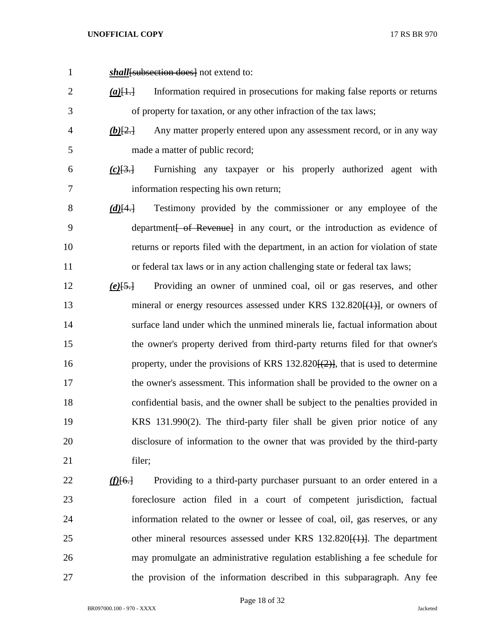*shall*[subsection does] not extend to:

 *(a)*[1.] Information required in prosecutions for making false reports or returns of property for taxation, or any other infraction of the tax laws;

 *(b)*[2.] Any matter properly entered upon any assessment record, or in any way made a matter of public record;

 *(c)*[3.] Furnishing any taxpayer or his properly authorized agent with information respecting his own return;

- *(d)*[4.] Testimony provided by the commissioner or any employee of the 9 department of Revenuel in any court, or the introduction as evidence of returns or reports filed with the department, in an action for violation of state or federal tax laws or in any action challenging state or federal tax laws;
- *(e)*[5.] Providing an owner of unmined coal, oil or gas reserves, and other 13 mineral or energy resources assessed under KRS 132.820 <del>[(1)]</del>, or owners of surface land under which the unmined minerals lie, factual information about the owner's property derived from third-party returns filed for that owner's 16 property, under the provisions of KRS 132.820<del>[(2)]</del>, that is used to determine the owner's assessment. This information shall be provided to the owner on a confidential basis, and the owner shall be subject to the penalties provided in KRS 131.990(2). The third-party filer shall be given prior notice of any disclosure of information to the owner that was provided by the third-party 21 filer;
- *(f)*[6.] Providing to a third-party purchaser pursuant to an order entered in a foreclosure action filed in a court of competent jurisdiction, factual information related to the owner or lessee of coal, oil, gas reserves, or any 25 other mineral resources assessed under KRS 132.820<del>[(1)]</del>. The department may promulgate an administrative regulation establishing a fee schedule for the provision of the information described in this subparagraph. Any fee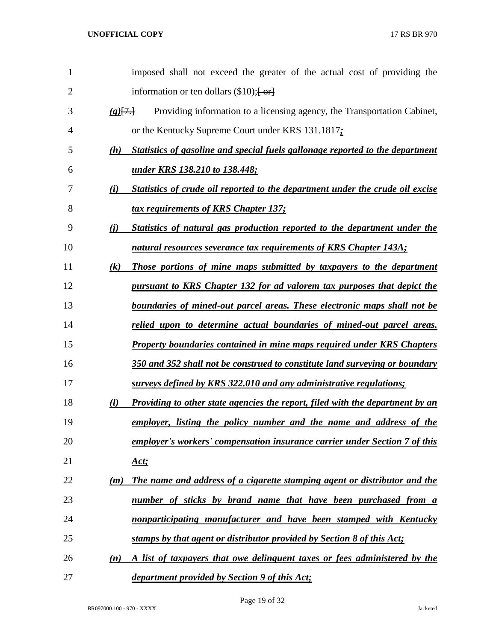| $\mathbf{1}$ |                   | imposed shall not exceed the greater of the actual cost of providing the             |
|--------------|-------------------|--------------------------------------------------------------------------------------|
| 2            |                   | information or ten dollars $(\$10);$ [or]                                            |
| 3            | (g)[7]            | Providing information to a licensing agency, the Transportation Cabinet,             |
| 4            |                   | or the Kentucky Supreme Court under KRS 131.1817;                                    |
| 5            | (h)               | Statistics of gasoline and special fuels gallonage reported to the department        |
| 6            |                   | <u>under KRS 138.210 to 138.448;</u>                                                 |
| 7            | (i)               | Statistics of crude oil reported to the department under the crude oil excise        |
| 8            |                   | tax requirements of KRS Chapter 137;                                                 |
| 9            | (i)               | Statistics of natural gas production reported to the department under the            |
| 10           |                   | natural resources severance tax requirements of KRS Chapter 143A;                    |
| 11           | $\left( k\right)$ | Those portions of mine maps submitted by taxpayers to the department                 |
| 12           |                   | <u>pursuant to KRS Chapter 132 for ad valorem tax purposes that depict the</u>       |
| 13           |                   | <u>boundaries of mined-out parcel areas. These electronic maps shall not be</u>      |
| 14           |                   | <u>relied upon to determine actual boundaries of mined-out parcel areas.</u>         |
| 15           |                   | <b>Property boundaries contained in mine maps required under KRS Chapters</b>        |
| 16           |                   | 350 and 352 shall not be construed to constitute land surveying or boundary          |
| 17           |                   | surveys defined by KRS 322.010 and any administrative regulations;                   |
| 18           | (l)               | <u>Providing to other state agencies the report, filed with the department by an</u> |
| 19           |                   | employer, listing the policy number and the name and address of the                  |
| 20           |                   | employer's workers' compensation insurance carrier under Section 7 of this           |
| 21           |                   | <u>Act;</u>                                                                          |
| 22           | (m)               | The name and address of a cigarette stamping agent or distributor and the            |
| 23           |                   | number of sticks by brand name that have been purchased from a                       |
| 24           |                   | nonparticipating manufacturer and have been stamped with Kentucky                    |
| 25           |                   | stamps by that agent or distributor provided by Section 8 of this Act;               |
| 26           | (n)               | A list of taxpayers that owe delinguent taxes or fees administered by the            |
| 27           |                   | department provided by Section 9 of this Act;                                        |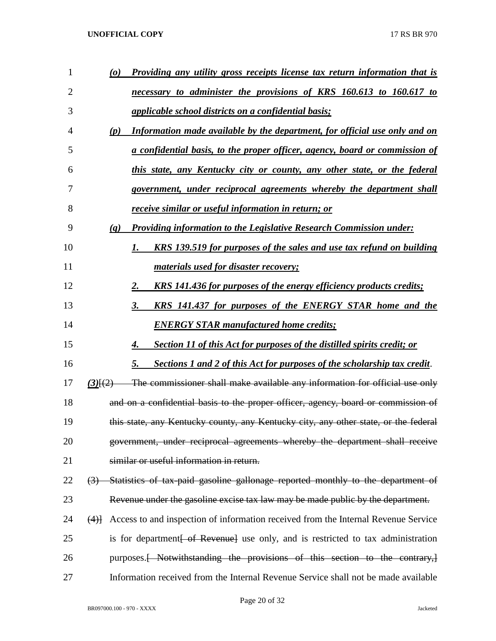| 1  | <u>Providing any utility gross receipts license tax return information that is</u><br>$\boldsymbol{\omega}$ |
|----|-------------------------------------------------------------------------------------------------------------|
| 2  | necessary to administer the provisions of KRS 160.613 to 160.617 to                                         |
| 3  | applicable school districts on a confidential basis;                                                        |
| 4  | Information made available by the department, for official use only and on<br>(p)                           |
| 5  | a confidential basis, to the proper officer, agency, board or commission of                                 |
| 6  | this state, any Kentucky city or county, any other state, or the federal                                    |
| 7  | government, under reciprocal agreements whereby the department shall                                        |
| 8  | receive similar or useful information in return; or                                                         |
| 9  | <b>Providing information to the Legislative Research Commission under:</b><br>(q)                           |
| 10 | <b>KRS</b> 139.519 for purposes of the sales and use tax refund on building<br>1.                           |
| 11 | <u>materials used for disaster recovery;</u>                                                                |
| 12 | <b>KRS</b> 141.436 for purposes of the energy efficiency products credits;<br>2.                            |
| 13 | KRS 141.437 for purposes of the ENERGY STAR home and the<br>3.                                              |
| 14 | <b>ENERGY STAR manufactured home credits;</b>                                                               |
| 15 | <b>Section 11 of this Act for purposes of the distilled spirits credit; or</b>                              |
| 16 | <b>Sections 1 and 2 of this Act for purposes of the scholarship tax credit.</b><br>5.                       |
| 17 | The commissioner shall make available any information for official use only<br>$(3)$ $\{2\}$                |
| 18 | and on a confidential basis to the proper officer, agency, board or commission of                           |
| 19 | this state, any Kentucky county, any Kentucky city, any other state, or the federal                         |
| 20 | government, under reciprocal agreements whereby the department shall receive                                |
| 21 | similar or useful information in return.                                                                    |
| 22 | (3) Statistics of tax-paid gasoline gallonage reported monthly to the department of                         |
| 23 | Revenue under the gasoline excise tax law may be made public by the department.                             |
| 24 | Access to and inspection of information received from the Internal Revenue Service<br>(4)                   |
| 25 | is for department of Revenuel use only, and is restricted to tax administration                             |
| 26 | purposes. <del>[ Notwithstanding the provisions of this section to the contrary,]</del>                     |
| 27 | Information received from the Internal Revenue Service shall not be made available                          |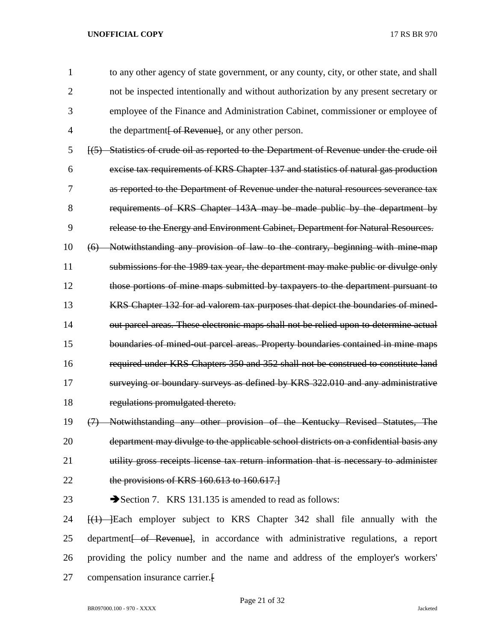to any other agency of state government, or any county, city, or other state, and shall not be inspected intentionally and without authorization by any present secretary or employee of the Finance and Administration Cabinet, commissioner or employee of 4 the department of Revenue, or any other person.

 [(5) Statistics of crude oil as reported to the Department of Revenue under the crude oil excise tax requirements of KRS Chapter 137 and statistics of natural gas production as reported to the Department of Revenue under the natural resources severance tax requirements of KRS Chapter 143A may be made public by the department by release to the Energy and Environment Cabinet, Department for Natural Resources.

 (6) Notwithstanding any provision of law to the contrary, beginning with mine-map submissions for the 1989 tax year, the department may make public or divulge only those portions of mine maps submitted by taxpayers to the department pursuant to KRS Chapter 132 for ad valorem tax purposes that depict the boundaries of mined-14 out parcel areas. These electronic maps shall not be relied upon to determine actual boundaries of mined-out parcel areas. Property boundaries contained in mine maps required under KRS Chapters 350 and 352 shall not be construed to constitute land surveying or boundary surveys as defined by KRS 322.010 and any administrative regulations promulgated thereto.

19 (7) Notwithstanding any other provision of the Kentucky Revised Statutes, The 20 department may divulge to the applicable school districts on a confidential basis any 21 utility gross receipts license tax return information that is necessary to administer 22 the provisions of KRS 160.613 to 160.617.

23 Section 7. KRS 131.135 is amended to read as follows:

24 [(1) ]Each employer subject to KRS Chapter 342 shall file annually with the 25 department of Revenue, in accordance with administrative regulations, a report 26 providing the policy number and the name and address of the employer's workers' 27 compensation insurance carrier.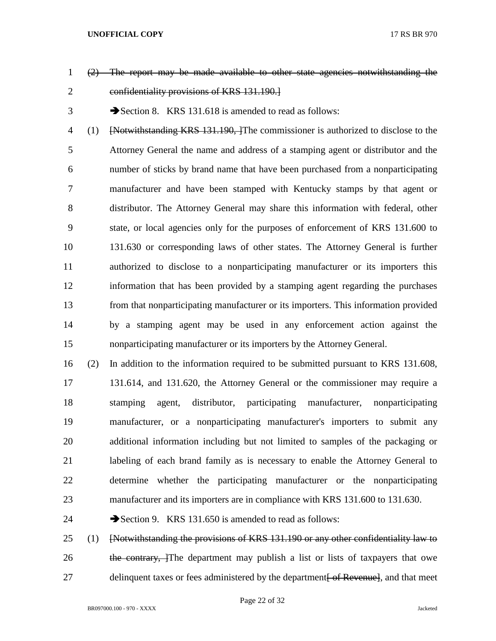- (2) The report may be made available to other state agencies notwithstanding the confidentiality provisions of KRS 131.190.]
- 

3 Section 8. KRS 131.618 is amended to read as follows:

4 (1) [Notwithstanding KRS 131.190, The commissioner is authorized to disclose to the Attorney General the name and address of a stamping agent or distributor and the number of sticks by brand name that have been purchased from a nonparticipating manufacturer and have been stamped with Kentucky stamps by that agent or distributor. The Attorney General may share this information with federal, other state, or local agencies only for the purposes of enforcement of KRS 131.600 to 131.630 or corresponding laws of other states. The Attorney General is further authorized to disclose to a nonparticipating manufacturer or its importers this information that has been provided by a stamping agent regarding the purchases from that nonparticipating manufacturer or its importers. This information provided by a stamping agent may be used in any enforcement action against the nonparticipating manufacturer or its importers by the Attorney General.

 (2) In addition to the information required to be submitted pursuant to KRS 131.608, 131.614, and 131.620, the Attorney General or the commissioner may require a stamping agent, distributor, participating manufacturer, nonparticipating manufacturer, or a nonparticipating manufacturer's importers to submit any additional information including but not limited to samples of the packaging or labeling of each brand family as is necessary to enable the Attorney General to determine whether the participating manufacturer or the nonparticipating manufacturer and its importers are in compliance with KRS 131.600 to 131.630.

24 Section 9. KRS 131.650 is amended to read as follows:

 (1) [Notwithstanding the provisions of KRS 131.190 or any other confidentiality law to 26 the contrary, The department may publish a list or lists of taxpayers that owe 27 delinquent taxes or fees administered by the department of Revenuel, and that meet

Page 22 of 32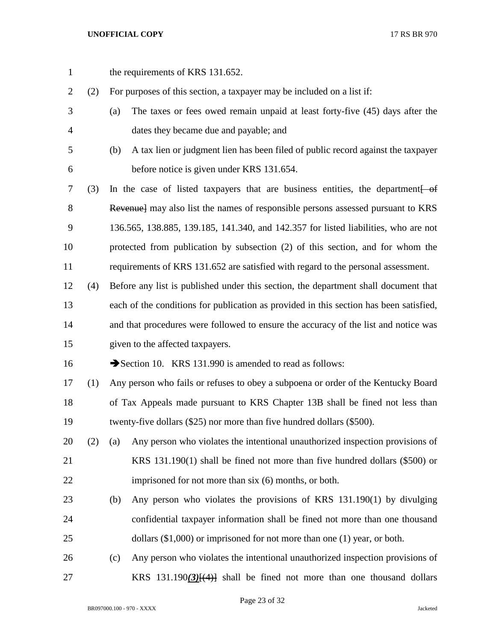1 the requirements of KRS 131.652. (2) For purposes of this section, a taxpayer may be included on a list if: (a) The taxes or fees owed remain unpaid at least forty-five (45) days after the dates they became due and payable; and (b) A tax lien or judgment lien has been filed of public record against the taxpayer before notice is given under KRS 131.654. (3) In the case of listed taxpayers that are business entities, the department[ of 8 Revenue] may also list the names of responsible persons assessed pursuant to KRS 136.565, 138.885, 139.185, 141.340, and 142.357 for listed liabilities, who are not protected from publication by subsection (2) of this section, and for whom the requirements of KRS 131.652 are satisfied with regard to the personal assessment. (4) Before any list is published under this section, the department shall document that each of the conditions for publication as provided in this section has been satisfied, and that procedures were followed to ensure the accuracy of the list and notice was given to the affected taxpayers. 16 Section 10. KRS 131.990 is amended to read as follows: (1) Any person who fails or refuses to obey a subpoena or order of the Kentucky Board of Tax Appeals made pursuant to KRS Chapter 13B shall be fined not less than twenty-five dollars (\$25) nor more than five hundred dollars (\$500). (2) (a) Any person who violates the intentional unauthorized inspection provisions of KRS 131.190(1) shall be fined not more than five hundred dollars (\$500) or imprisoned for not more than six (6) months, or both. (b) Any person who violates the provisions of KRS 131.190(1) by divulging confidential taxpayer information shall be fined not more than one thousand 25 dollars (\$1,000) or imprisoned for not more than one (1) year, or both. (c) Any person who violates the intentional unauthorized inspection provisions of KRS 131.190*(3)*[(4)] shall be fined not more than one thousand dollars

Page 23 of 32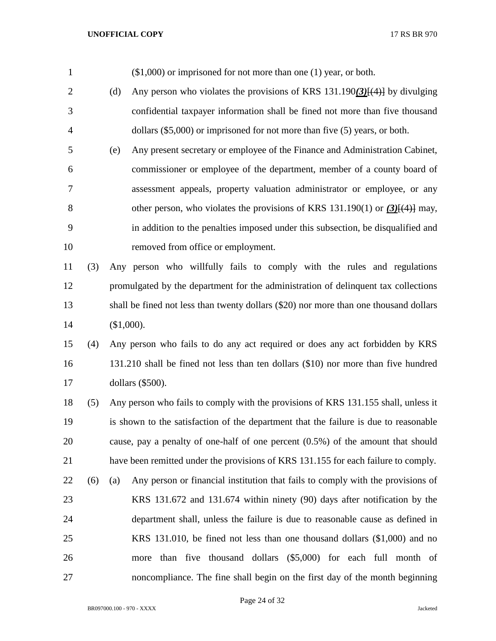| $\mathbf{1}$   |     | $($1,000)$ or imprisoned for not more than one $(1)$ year, or both.                    |
|----------------|-----|----------------------------------------------------------------------------------------|
| $\overline{2}$ |     | Any person who violates the provisions of KRS $131.190(3)[(4)]$ by divulging<br>(d)    |
| 3              |     | confidential taxpayer information shall be fined not more than five thousand           |
| $\overline{4}$ |     | dollars $(\$5,000)$ or imprisoned for not more than five $(5)$ years, or both.         |
| 5              |     | Any present secretary or employee of the Finance and Administration Cabinet,<br>(e)    |
| 6              |     | commissioner or employee of the department, member of a county board of                |
| 7              |     | assessment appeals, property valuation administrator or employee, or any               |
| 8              |     | other person, who violates the provisions of KRS 131.190(1) or $(3)$ [ $(4)$ ] may,    |
| 9              |     | in addition to the penalties imposed under this subsection, be disqualified and        |
| 10             |     | removed from office or employment.                                                     |
| 11             | (3) | Any person who willfully fails to comply with the rules and regulations                |
| 12             |     | promulgated by the department for the administration of delinquent tax collections     |
| 13             |     | shall be fined not less than twenty dollars (\$20) nor more than one thousand dollars  |
| 14             |     | (\$1,000).                                                                             |
| 15             | (4) | Any person who fails to do any act required or does any act forbidden by KRS           |
| 16             |     | 131.210 shall be fined not less than ten dollars (\$10) nor more than five hundred     |
| 17             |     | dollars (\$500).                                                                       |
| 18             | (5) | Any person who fails to comply with the provisions of KRS 131.155 shall, unless it     |
| 19             |     | is shown to the satisfaction of the department that the failure is due to reasonable   |
| 20             |     | cause, pay a penalty of one-half of one percent $(0.5\%)$ of the amount that should    |
| 21             |     | have been remitted under the provisions of KRS 131.155 for each failure to comply.     |
| 22             | (6) | Any person or financial institution that fails to comply with the provisions of<br>(a) |
| 23             |     | KRS 131.672 and 131.674 within ninety (90) days after notification by the              |
| 24             |     | department shall, unless the failure is due to reasonable cause as defined in          |
| 25             |     | KRS 131.010, be fined not less than one thousand dollars $(\text{\$1,000})$ and no     |
| 26             |     | more than five thousand dollars (\$5,000) for each full month of                       |
| 27             |     | noncompliance. The fine shall begin on the first day of the month beginning            |

Page 24 of 32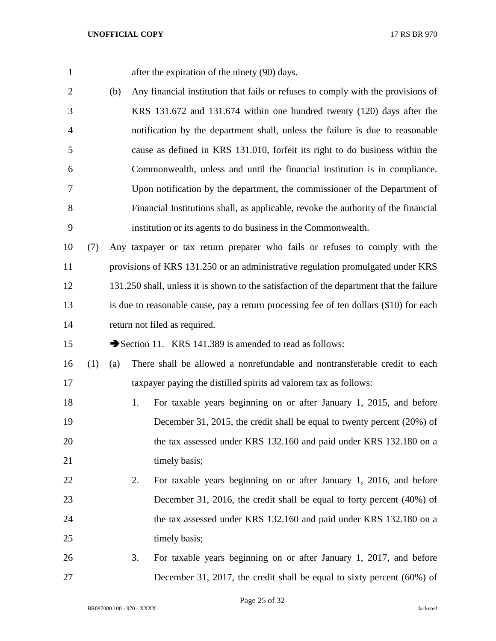1 after the expiration of the ninety (90) days.

 (b) Any financial institution that fails or refuses to comply with the provisions of KRS 131.672 and 131.674 within one hundred twenty (120) days after the notification by the department shall, unless the failure is due to reasonable cause as defined in KRS 131.010, forfeit its right to do business within the Commonwealth, unless and until the financial institution is in compliance. Upon notification by the department, the commissioner of the Department of Financial Institutions shall, as applicable, revoke the authority of the financial institution or its agents to do business in the Commonwealth.

 (7) Any taxpayer or tax return preparer who fails or refuses to comply with the provisions of KRS 131.250 or an administrative regulation promulgated under KRS 131.250 shall, unless it is shown to the satisfaction of the department that the failure is due to reasonable cause, pay a return processing fee of ten dollars (\$10) for each return not filed as required.

15 Section 11. KRS 141.389 is amended to read as follows:

 (1) (a) There shall be allowed a nonrefundable and nontransferable credit to each taxpayer paying the distilled spirits ad valorem tax as follows:

- 18 1. For taxable years beginning on or after January 1, 2015, and before December 31, 2015, the credit shall be equal to twenty percent (20%) of the tax assessed under KRS 132.160 and paid under KRS 132.180 on a 21 timely basis;
- 2. For taxable years beginning on or after January 1, 2016, and before December 31, 2016, the credit shall be equal to forty percent (40%) of the tax assessed under KRS 132.160 and paid under KRS 132.180 on a 25 timely basis;
- 3. For taxable years beginning on or after January 1, 2017, and before December 31, 2017, the credit shall be equal to sixty percent (60%) of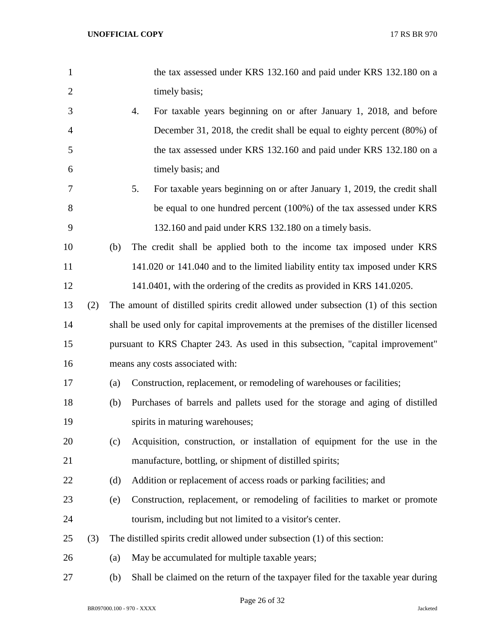| $\mathbf{1}$   |     |     |    | the tax assessed under KRS 132.160 and paid under KRS 132.180 on a                    |
|----------------|-----|-----|----|---------------------------------------------------------------------------------------|
| $\overline{2}$ |     |     |    | timely basis;                                                                         |
| 3              |     |     | 4. | For taxable years beginning on or after January 1, 2018, and before                   |
| $\overline{4}$ |     |     |    | December 31, 2018, the credit shall be equal to eighty percent (80%) of               |
| 5              |     |     |    | the tax assessed under KRS 132.160 and paid under KRS 132.180 on a                    |
| 6              |     |     |    | timely basis; and                                                                     |
| 7              |     |     | 5. | For taxable years beginning on or after January 1, 2019, the credit shall             |
| 8              |     |     |    | be equal to one hundred percent (100%) of the tax assessed under KRS                  |
| 9              |     |     |    | 132.160 and paid under KRS 132.180 on a timely basis.                                 |
| 10             |     | (b) |    | The credit shall be applied both to the income tax imposed under KRS                  |
| 11             |     |     |    | 141.020 or 141.040 and to the limited liability entity tax imposed under KRS          |
| 12             |     |     |    | 141.0401, with the ordering of the credits as provided in KRS 141.0205.               |
| 13             | (2) |     |    | The amount of distilled spirits credit allowed under subsection (1) of this section   |
| 14             |     |     |    | shall be used only for capital improvements at the premises of the distiller licensed |
| 15             |     |     |    | pursuant to KRS Chapter 243. As used in this subsection, "capital improvement"        |
| 16             |     |     |    | means any costs associated with:                                                      |
| 17             |     | (a) |    | Construction, replacement, or remodeling of warehouses or facilities;                 |
| 18             |     | (b) |    | Purchases of barrels and pallets used for the storage and aging of distilled          |
| 19             |     |     |    | spirits in maturing warehouses;                                                       |
| 20             |     | (c) |    | Acquisition, construction, or installation of equipment for the use in the            |
| 21             |     |     |    | manufacture, bottling, or shipment of distilled spirits;                              |
| 22             |     | (d) |    | Addition or replacement of access roads or parking facilities; and                    |
| 23             |     | (e) |    | Construction, replacement, or remodeling of facilities to market or promote           |
| 24             |     |     |    | tourism, including but not limited to a visitor's center.                             |
| 25             | (3) |     |    | The distilled spirits credit allowed under subsection (1) of this section:            |
| 26             |     | (a) |    | May be accumulated for multiple taxable years;                                        |
| 27             |     | (b) |    | Shall be claimed on the return of the taxpayer filed for the taxable year during      |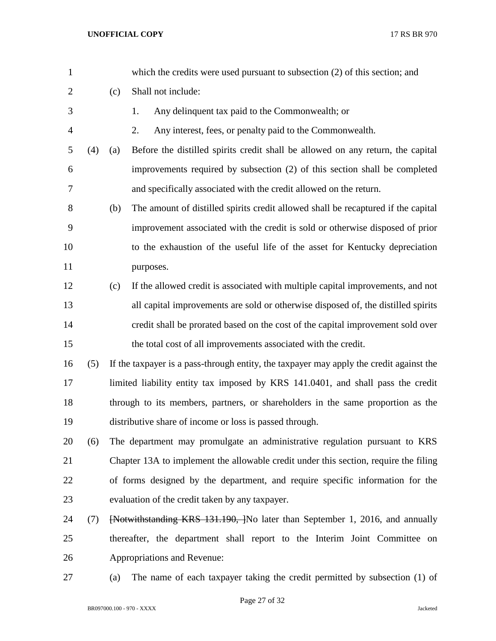| $\mathbf{1}$   |     |     | which the credits were used pursuant to subsection (2) of this section; and             |  |  |  |
|----------------|-----|-----|-----------------------------------------------------------------------------------------|--|--|--|
| $\overline{2}$ |     | (c) | Shall not include:                                                                      |  |  |  |
| 3              |     |     | Any delinquent tax paid to the Commonwealth; or<br>1.                                   |  |  |  |
| $\overline{4}$ |     |     | Any interest, fees, or penalty paid to the Commonwealth.<br>2.                          |  |  |  |
| 5              | (4) | (a) | Before the distilled spirits credit shall be allowed on any return, the capital         |  |  |  |
| 6              |     |     | improvements required by subsection (2) of this section shall be completed              |  |  |  |
| $\tau$         |     |     | and specifically associated with the credit allowed on the return.                      |  |  |  |
| $8\,$          |     | (b) | The amount of distilled spirits credit allowed shall be recaptured if the capital       |  |  |  |
| $\overline{9}$ |     |     | improvement associated with the credit is sold or otherwise disposed of prior           |  |  |  |
| 10             |     |     | to the exhaustion of the useful life of the asset for Kentucky depreciation             |  |  |  |
| 11             |     |     | purposes.                                                                               |  |  |  |
| 12             |     | (c) | If the allowed credit is associated with multiple capital improvements, and not         |  |  |  |
| 13             |     |     | all capital improvements are sold or otherwise disposed of, the distilled spirits       |  |  |  |
| 14             |     |     | credit shall be prorated based on the cost of the capital improvement sold over         |  |  |  |
| 15             |     |     | the total cost of all improvements associated with the credit.                          |  |  |  |
| 16             | (5) |     | If the taxpayer is a pass-through entity, the taxpayer may apply the credit against the |  |  |  |
| 17             |     |     | limited liability entity tax imposed by KRS 141.0401, and shall pass the credit         |  |  |  |
| 18             |     |     | through to its members, partners, or shareholders in the same proportion as the         |  |  |  |
| 19             |     |     | distributive share of income or loss is passed through.                                 |  |  |  |
| 20             | (6) |     | The department may promulgate an administrative regulation pursuant to KRS              |  |  |  |
| 21             |     |     | Chapter 13A to implement the allowable credit under this section, require the filing    |  |  |  |
| 22             |     |     | of forms designed by the department, and require specific information for the           |  |  |  |
| 23             |     |     | evaluation of the credit taken by any taxpayer.                                         |  |  |  |
| 24             | (7) |     | [Notwithstanding KRS 131.190, ]No later than September 1, 2016, and annually            |  |  |  |
| 25             |     |     | thereafter, the department shall report to the Interim Joint Committee on               |  |  |  |
| 26             |     |     | Appropriations and Revenue:                                                             |  |  |  |
| 27             |     | (a) | The name of each taxpayer taking the credit permitted by subsection (1) of              |  |  |  |

Page 27 of 32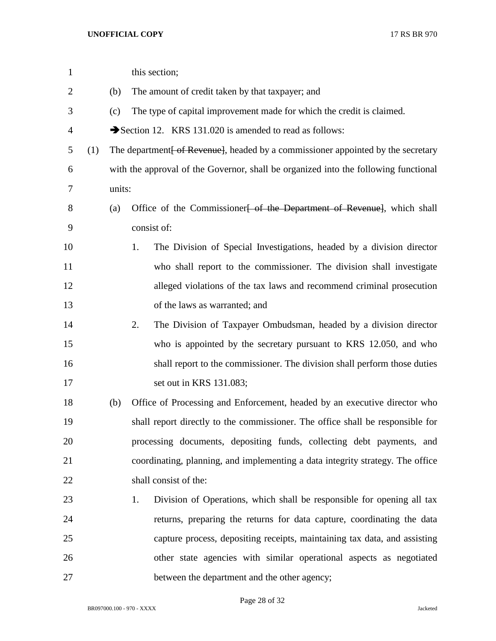| $\mathbf{1}$ |     |        | this section;                                                                       |
|--------------|-----|--------|-------------------------------------------------------------------------------------|
| 2            |     | (b)    | The amount of credit taken by that taxpayer; and                                    |
| 3            |     | (c)    | The type of capital improvement made for which the credit is claimed.               |
| 4            |     |        | Section 12. KRS 131.020 is amended to read as follows:                              |
| 5            | (1) |        | The department [ of Revenue], headed by a commissioner appointed by the secretary   |
| 6            |     |        | with the approval of the Governor, shall be organized into the following functional |
| 7            |     | units: |                                                                                     |
| 8            |     | (a)    | Office of the Commissioner <del>[ of the Department of Revenue]</del> , which shall |
| 9            |     |        | consist of:                                                                         |
| 10           |     |        | The Division of Special Investigations, headed by a division director<br>1.         |
| 11           |     |        | who shall report to the commissioner. The division shall investigate                |
| 12           |     |        | alleged violations of the tax laws and recommend criminal prosecution               |
| 13           |     |        | of the laws as warranted; and                                                       |
| 14           |     |        | The Division of Taxpayer Ombudsman, headed by a division director<br>2.             |
| 15           |     |        | who is appointed by the secretary pursuant to KRS 12.050, and who                   |
| 16           |     |        | shall report to the commissioner. The division shall perform those duties           |
| 17           |     |        | set out in KRS 131.083;                                                             |
| 18           |     | (b)    | Office of Processing and Enforcement, headed by an executive director who           |
| 19           |     |        | shall report directly to the commissioner. The office shall be responsible for      |
| 20           |     |        | processing documents, depositing funds, collecting debt payments, and               |
| 21           |     |        | coordinating, planning, and implementing a data integrity strategy. The office      |
| 22           |     |        | shall consist of the:                                                               |
| 23           |     |        | Division of Operations, which shall be responsible for opening all tax<br>1.        |
| 24           |     |        | returns, preparing the returns for data capture, coordinating the data              |
| 25           |     |        | capture process, depositing receipts, maintaining tax data, and assisting           |
| 26           |     |        | other state agencies with similar operational aspects as negotiated                 |
| 27           |     |        | between the department and the other agency;                                        |

Page 28 of 32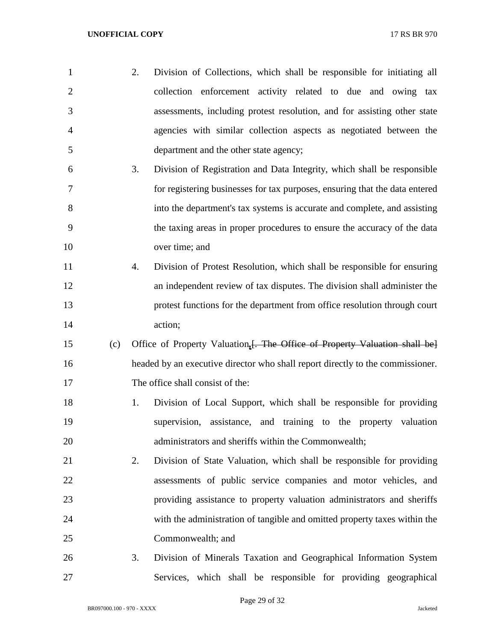| $\mathbf{1}$   |     | 2. | Division of Collections, which shall be responsible for initiating all         |
|----------------|-----|----|--------------------------------------------------------------------------------|
| $\overline{2}$ |     |    | collection enforcement activity related to due and owing tax                   |
| 3              |     |    | assessments, including protest resolution, and for assisting other state       |
| $\overline{4}$ |     |    | agencies with similar collection aspects as negotiated between the             |
| 5              |     |    | department and the other state agency;                                         |
| 6              |     | 3. | Division of Registration and Data Integrity, which shall be responsible        |
| 7              |     |    | for registering businesses for tax purposes, ensuring that the data entered    |
| 8              |     |    | into the department's tax systems is accurate and complete, and assisting      |
| 9              |     |    | the taxing areas in proper procedures to ensure the accuracy of the data       |
| 10             |     |    | over time; and                                                                 |
| 11             |     | 4. | Division of Protest Resolution, which shall be responsible for ensuring        |
| 12             |     |    | an independent review of tax disputes. The division shall administer the       |
| 13             |     |    | protest functions for the department from office resolution through court      |
| 14             |     |    | action;                                                                        |
| 15             | (c) |    | Office of Property Valuation, [. The Office of Property Valuation shall be]    |
| 16             |     |    | headed by an executive director who shall report directly to the commissioner. |
| 17             |     |    | The office shall consist of the:                                               |
| 18             |     | 1. | Division of Local Support, which shall be responsible for providing            |
| 19             |     |    | supervision, assistance, and training to the property valuation                |
| 20             |     |    | administrators and sheriffs within the Commonwealth;                           |
| 21             |     | 2. | Division of State Valuation, which shall be responsible for providing          |
| 22             |     |    | assessments of public service companies and motor vehicles, and                |
| 23             |     |    | providing assistance to property valuation administrators and sheriffs         |
| 24             |     |    | with the administration of tangible and omitted property taxes within the      |
| 25             |     |    | Commonwealth; and                                                              |
| 26             |     | 3. | Division of Minerals Taxation and Geographical Information System              |
| 27             |     |    | Services, which shall be responsible for providing geographical                |

Page 29 of 32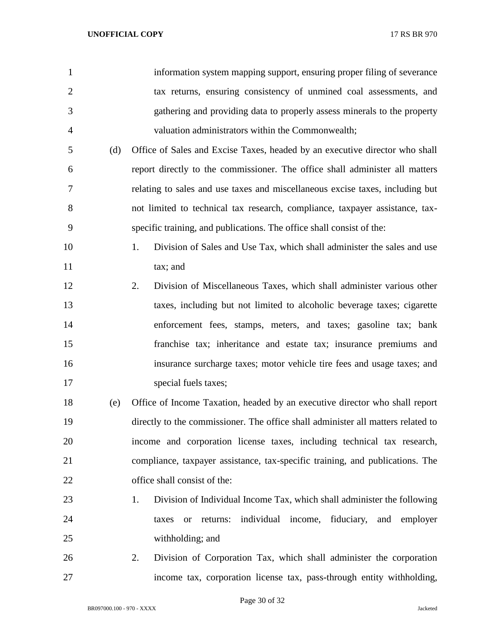| $\mathbf{1}$   |     | information system mapping support, ensuring proper filing of severance          |
|----------------|-----|----------------------------------------------------------------------------------|
| $\overline{2}$ |     | tax returns, ensuring consistency of unmined coal assessments, and               |
| 3              |     | gathering and providing data to properly assess minerals to the property         |
| $\overline{4}$ |     | valuation administrators within the Commonwealth;                                |
| 5              | (d) | Office of Sales and Excise Taxes, headed by an executive director who shall      |
| 6              |     | report directly to the commissioner. The office shall administer all matters     |
| 7              |     | relating to sales and use taxes and miscellaneous excise taxes, including but    |
| 8              |     | not limited to technical tax research, compliance, taxpayer assistance, tax-     |
| 9              |     | specific training, and publications. The office shall consist of the:            |
| 10             |     | 1.<br>Division of Sales and Use Tax, which shall administer the sales and use    |
| 11             |     | tax; and                                                                         |
| 12             |     | Division of Miscellaneous Taxes, which shall administer various other<br>2.      |
| 13             |     | taxes, including but not limited to alcoholic beverage taxes; cigarette          |
| 14             |     | enforcement fees, stamps, meters, and taxes; gasoline tax; bank                  |
| 15             |     | franchise tax; inheritance and estate tax; insurance premiums and                |
| 16             |     | insurance surcharge taxes; motor vehicle tire fees and usage taxes; and          |
| 17             |     | special fuels taxes;                                                             |
| 18             | (e) | Office of Income Taxation, headed by an executive director who shall report      |
| 19             |     | directly to the commissioner. The office shall administer all matters related to |
| 20             |     | income and corporation license taxes, including technical tax research,          |
| 21             |     | compliance, taxpayer assistance, tax-specific training, and publications. The    |
| 22             |     | office shall consist of the:                                                     |
| 23             |     | Division of Individual Income Tax, which shall administer the following<br>1.    |
| 24             |     | individual income, fiduciary, and employer<br>returns:<br>taxes<br><b>or</b>     |
| 25             |     | withholding; and                                                                 |
| 26             |     | Division of Corporation Tax, which shall administer the corporation<br>2.        |
| 27             |     | income tax, corporation license tax, pass-through entity withholding,            |

Page 30 of 32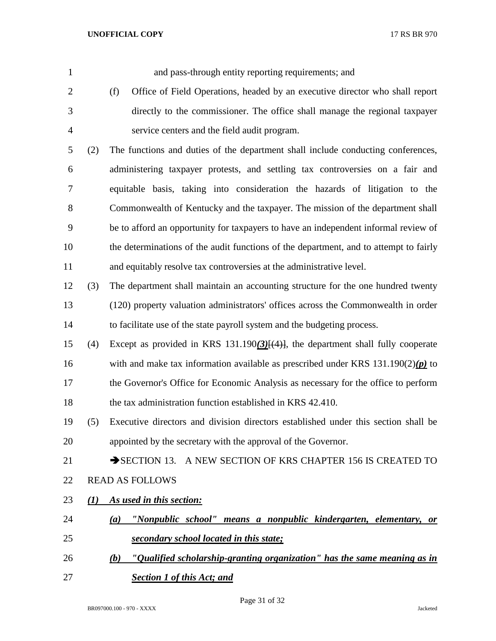| 1              |     | and pass-through entity reporting requirements; and                                     |
|----------------|-----|-----------------------------------------------------------------------------------------|
| $\overline{2}$ |     | Office of Field Operations, headed by an executive director who shall report<br>(f)     |
| 3              |     | directly to the commissioner. The office shall manage the regional taxpayer             |
| $\overline{4}$ |     | service centers and the field audit program.                                            |
| 5              | (2) | The functions and duties of the department shall include conducting conferences,        |
| 6              |     | administering taxpayer protests, and settling tax controversies on a fair and           |
| 7              |     | equitable basis, taking into consideration the hazards of litigation to the             |
| 8              |     | Commonwealth of Kentucky and the taxpayer. The mission of the department shall          |
| 9              |     | be to afford an opportunity for taxpayers to have an independent informal review of     |
| 10             |     | the determinations of the audit functions of the department, and to attempt to fairly   |
| 11             |     | and equitably resolve tax controversies at the administrative level.                    |
| 12             | (3) | The department shall maintain an accounting structure for the one hundred twenty        |
| 13             |     | (120) property valuation administrators' offices across the Commonwealth in order       |
| 14             |     | to facilitate use of the state payroll system and the budgeting process.                |
| 15             | (4) | Except as provided in KRS 131.190 $(3)$ [ $(4)$ ], the department shall fully cooperate |
| 16             |     | with and make tax information available as prescribed under KRS $131.190(2)(p)$ to      |
| 17             |     | the Governor's Office for Economic Analysis as necessary for the office to perform      |
| 18             |     | the tax administration function established in KRS 42.410.                              |
| 19             |     | (5) Executive directors and division directors established under this section shall be  |
| 20             |     | appointed by the secretary with the approval of the Governor.                           |
| 21             |     | SECTION 13. A NEW SECTION OF KRS CHAPTER 156 IS CREATED TO                              |
| 22             |     | <b>READ AS FOLLOWS</b>                                                                  |
| 23             | (1) | As used in this section:                                                                |
| 24             |     | "Nonpublic school" means a nonpublic kindergarten, elementary, or<br>(a)                |
| 25             |     | secondary school located in this state;                                                 |
| 26             |     | "Qualified scholarship-granting organization" has the same meaning as in<br>(b)         |
| 27             |     | <b>Section 1 of this Act; and</b>                                                       |

Page 31 of 32